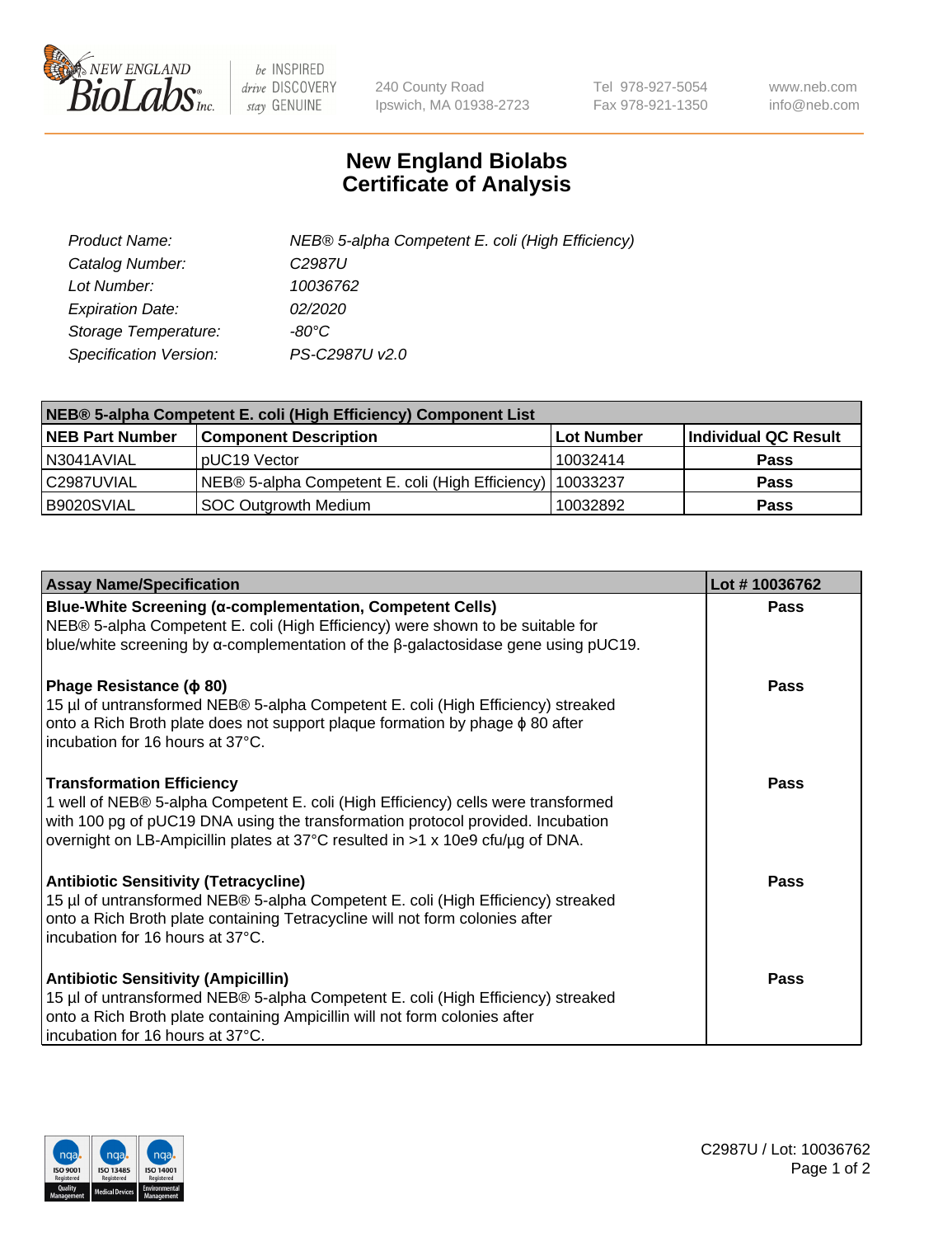

 $be$  INSPIRED drive DISCOVERY stay GENUINE

240 County Road Ipswich, MA 01938-2723 Tel 978-927-5054 Fax 978-921-1350 www.neb.com info@neb.com

## **New England Biolabs Certificate of Analysis**

| Product Name:                 | NEB® 5-alpha Competent E. coli (High Efficiency) |
|-------------------------------|--------------------------------------------------|
| Catalog Number:               | C <sub>2987</sub> U                              |
| Lot Number:                   | 10036762                                         |
| <b>Expiration Date:</b>       | <i>02/2020</i>                                   |
| Storage Temperature:          | -80°C                                            |
| <b>Specification Version:</b> | PS-C2987U v2.0                                   |

| NEB® 5-alpha Competent E. coli (High Efficiency) Component List |                                                  |            |                      |  |
|-----------------------------------------------------------------|--------------------------------------------------|------------|----------------------|--|
| <b>NEB Part Number</b>                                          | <b>Component Description</b>                     | Lot Number | Individual QC Result |  |
| N3041AVIAL                                                      | pUC19 Vector                                     | 10032414   | <b>Pass</b>          |  |
| C2987UVIAL                                                      | NEB® 5-alpha Competent E. coli (High Efficiency) | 10033237   | <b>Pass</b>          |  |
| B9020SVIAL                                                      | SOC Outgrowth Medium                             | 10032892   | <b>Pass</b>          |  |

| <b>Assay Name/Specification</b>                                                                                                                                                                                                                                                            | Lot #10036762 |
|--------------------------------------------------------------------------------------------------------------------------------------------------------------------------------------------------------------------------------------------------------------------------------------------|---------------|
| Blue-White Screening (α-complementation, Competent Cells)<br>NEB® 5-alpha Competent E. coli (High Efficiency) were shown to be suitable for<br>blue/white screening by $\alpha$ -complementation of the $\beta$ -galactosidase gene using pUC19.                                           | Pass          |
| Phage Resistance ( $\phi$ 80)<br>15 µl of untransformed NEB® 5-alpha Competent E. coli (High Efficiency) streaked<br>onto a Rich Broth plate does not support plaque formation by phage φ 80 after<br>Incubation for 16 hours at 37°C.                                                     | Pass          |
| <b>Transformation Efficiency</b><br>1 well of NEB® 5-alpha Competent E. coli (High Efficiency) cells were transformed<br>with 100 pg of pUC19 DNA using the transformation protocol provided. Incubation<br>overnight on LB-Ampicillin plates at 37°C resulted in >1 x 10e9 cfu/µg of DNA. | Pass          |
| <b>Antibiotic Sensitivity (Tetracycline)</b><br>15 µl of untransformed NEB® 5-alpha Competent E. coli (High Efficiency) streaked<br>onto a Rich Broth plate containing Tetracycline will not form colonies after<br>incubation for 16 hours at 37°C.                                       | Pass          |
| <b>Antibiotic Sensitivity (Ampicillin)</b><br>15 µl of untransformed NEB® 5-alpha Competent E. coli (High Efficiency) streaked<br>onto a Rich Broth plate containing Ampicillin will not form colonies after<br>incubation for 16 hours at 37°C.                                           | Pass          |